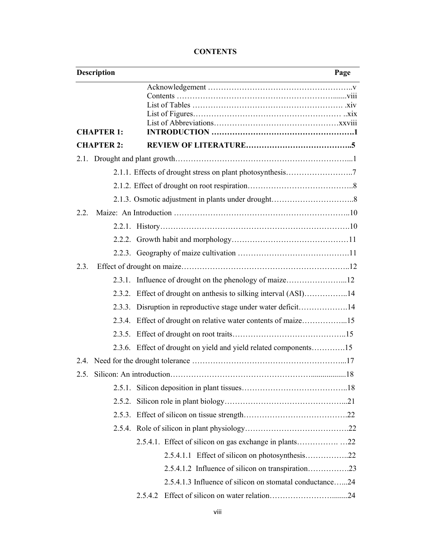| <b>Description</b> | Page                                                             |
|--------------------|------------------------------------------------------------------|
| <b>CHAPTER 1:</b>  |                                                                  |
| <b>CHAPTER 2:</b>  |                                                                  |
|                    |                                                                  |
|                    |                                                                  |
|                    |                                                                  |
|                    |                                                                  |
| 2.2.               |                                                                  |
|                    |                                                                  |
|                    |                                                                  |
|                    |                                                                  |
| 2.3.               |                                                                  |
|                    |                                                                  |
|                    | 2.3.2. Effect of drought on anthesis to silking interval (ASI)14 |
|                    | 2.3.3. Disruption in reproductive stage under water deficit14    |
|                    | 2.3.4. Effect of drought on relative water contents of maize15   |
|                    |                                                                  |
|                    | 2.3.6. Effect of drought on yield and yield related components15 |
|                    |                                                                  |
|                    |                                                                  |
|                    |                                                                  |
|                    |                                                                  |
|                    |                                                                  |
|                    |                                                                  |
|                    |                                                                  |
|                    |                                                                  |
|                    |                                                                  |
|                    | 2.5.4.1.3 Influence of silicon on stomatal conductance24         |
|                    |                                                                  |

## **CONTENTS**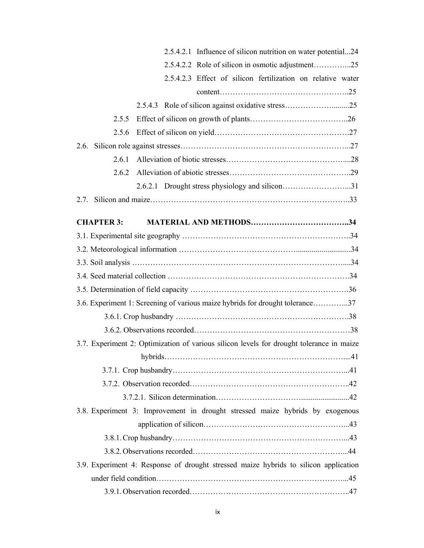| 2.5.4.2.1 Influence of silicon nutrition on water potential24                            |
|------------------------------------------------------------------------------------------|
|                                                                                          |
| 2.5.4.2.3 Effect of silicon fertilization on relative water                              |
|                                                                                          |
| 2.5.4.3 Role of silicon against oxidative stress25                                       |
| 2.5.5                                                                                    |
| 2.5.6                                                                                    |
|                                                                                          |
| 2.6.1                                                                                    |
| 2.6.2                                                                                    |
|                                                                                          |
| 2.7.                                                                                     |
| <b>CHAPTER 3:</b>                                                                        |
|                                                                                          |
|                                                                                          |
|                                                                                          |
|                                                                                          |
|                                                                                          |
| 3.6. Experiment 1: Screening of various maize hybrids for drought tolerance37            |
|                                                                                          |
|                                                                                          |
| 3.7. Experiment 2: Optimization of various silicon levels for drought tolerance in maize |
|                                                                                          |
|                                                                                          |
|                                                                                          |
|                                                                                          |
| 3.8. Experiment 3: Improvement in drought stressed maize hybrids by exogenous            |
|                                                                                          |
|                                                                                          |
|                                                                                          |
| 3.9. Experiment 4: Response of drought stressed maize hybrids to silicon application     |
|                                                                                          |
|                                                                                          |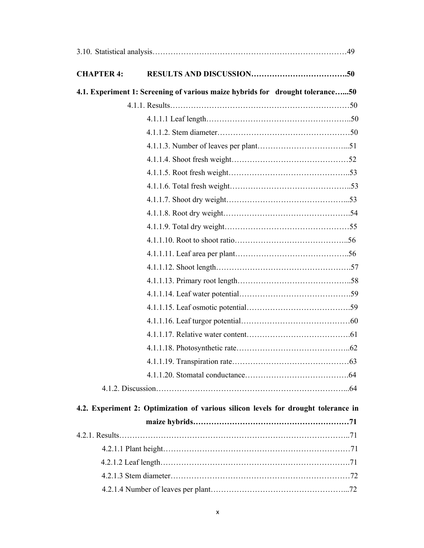| <b>CHAPTER 4:</b> |                                                                                    |  |
|-------------------|------------------------------------------------------------------------------------|--|
|                   | 4.1. Experiment 1: Screening of various maize hybrids for drought tolerance50      |  |
|                   |                                                                                    |  |
|                   |                                                                                    |  |
|                   |                                                                                    |  |
|                   |                                                                                    |  |
|                   |                                                                                    |  |
|                   |                                                                                    |  |
|                   |                                                                                    |  |
|                   |                                                                                    |  |
|                   |                                                                                    |  |
|                   |                                                                                    |  |
|                   |                                                                                    |  |
|                   |                                                                                    |  |
|                   |                                                                                    |  |
|                   |                                                                                    |  |
|                   |                                                                                    |  |
|                   |                                                                                    |  |
|                   |                                                                                    |  |
|                   |                                                                                    |  |
|                   |                                                                                    |  |
|                   |                                                                                    |  |
|                   |                                                                                    |  |
|                   |                                                                                    |  |
|                   | 4.2. Experiment 2: Optimization of various silicon levels for drought tolerance in |  |
|                   |                                                                                    |  |
|                   |                                                                                    |  |
|                   |                                                                                    |  |
|                   |                                                                                    |  |
|                   |                                                                                    |  |
|                   |                                                                                    |  |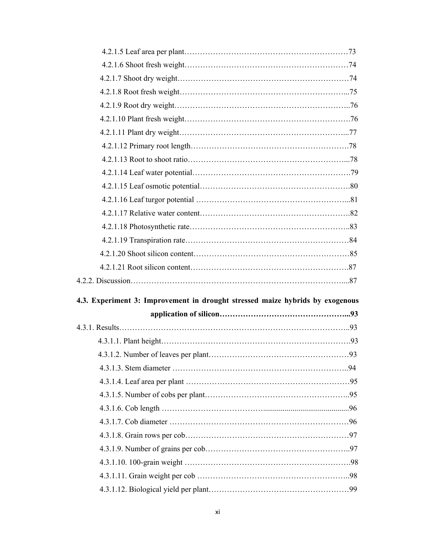| 4.3. Experiment 3: Improvement in drought stressed maize hybrids by exogenous |  |
|-------------------------------------------------------------------------------|--|
|                                                                               |  |
|                                                                               |  |
|                                                                               |  |
|                                                                               |  |
|                                                                               |  |
|                                                                               |  |
|                                                                               |  |
|                                                                               |  |
|                                                                               |  |
|                                                                               |  |
|                                                                               |  |
|                                                                               |  |